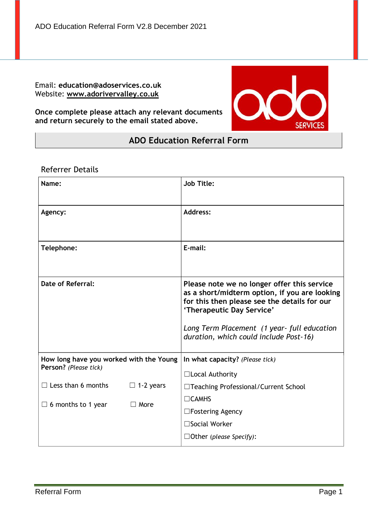ADO Education Referral Form V2.8 December 2021

Email: **education@adoservices.co.uk** Website: **[www.adorivervalley.co.uk](http://www.adorivervalley.co.uk/)**

**Once complete please attach any relevant documents and return securely to the email stated above.**



# **ADO Education Referral Form**

# Referrer Details

| Name:                                                            |                  | <b>Job Title:</b>                                                                                                                                                                                                                                                  |
|------------------------------------------------------------------|------------------|--------------------------------------------------------------------------------------------------------------------------------------------------------------------------------------------------------------------------------------------------------------------|
| Agency:                                                          |                  | <b>Address:</b>                                                                                                                                                                                                                                                    |
| Telephone:                                                       |                  | E-mail:                                                                                                                                                                                                                                                            |
| Date of Referral:                                                |                  | Please note we no longer offer this service<br>as a short/midterm option, if you are looking<br>for this then please see the details for our<br>'Therapeutic Day Service'<br>Long Term Placement (1 year- full education<br>duration, which could include Post-16) |
| How long have you worked with the Young<br>Person? (Please tick) |                  | In what capacity? (Please tick)<br>□Local Authority                                                                                                                                                                                                                |
| $\Box$ Less than 6 months                                        | $\Box$ 1-2 years | □Teaching Professional/Current School                                                                                                                                                                                                                              |
| $\Box$ 6 months to 1 year                                        | $\Box$ More      | $\Box$ CAMHS                                                                                                                                                                                                                                                       |
|                                                                  |                  | $\Box$ Fostering Agency                                                                                                                                                                                                                                            |
|                                                                  |                  | $\square$ Social Worker                                                                                                                                                                                                                                            |
|                                                                  |                  | $\Box$ Other (please Specify):                                                                                                                                                                                                                                     |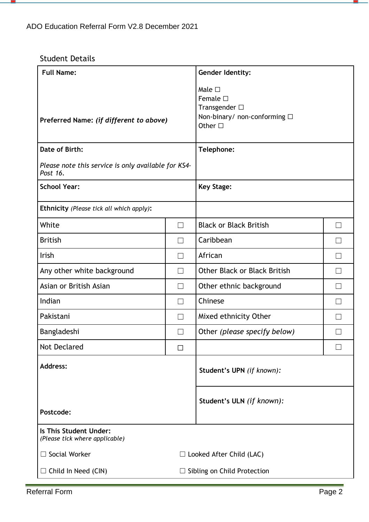# Student Details

- 9

| <b>Full Name:</b>                                               |                   | <b>Gender Identity:</b>                                                                                |                   |  |
|-----------------------------------------------------------------|-------------------|--------------------------------------------------------------------------------------------------------|-------------------|--|
| Preferred Name: (if different to above)                         |                   | Male $\square$<br>Female $\square$<br>Transgender $\square$<br>Non-binary/ non-conforming □<br>Other □ |                   |  |
| Date of Birth:                                                  |                   | Telephone:                                                                                             |                   |  |
| Please note this service is only available for KS4-<br>Post 16. |                   |                                                                                                        |                   |  |
| <b>School Year:</b>                                             |                   | <b>Key Stage:</b>                                                                                      |                   |  |
| <b>Ethnicity</b> (Please tick all which apply):                 |                   |                                                                                                        |                   |  |
| White                                                           | $\Box$            | <b>Black or Black British</b>                                                                          |                   |  |
| <b>British</b>                                                  | $\Box$            | Caribbean                                                                                              |                   |  |
| Irish                                                           | $\Box$            | African                                                                                                | $\vert \ \ \vert$ |  |
| Any other white background                                      | $\Box$            | <b>Other Black or Black British</b>                                                                    |                   |  |
| Asian or British Asian                                          | $\Box$            | Other ethnic background                                                                                |                   |  |
| Indian                                                          | $\Box$            | Chinese                                                                                                |                   |  |
| Pakistani                                                       | $\Box$            | Mixed ethnicity Other                                                                                  |                   |  |
| Bangladeshi                                                     | $\vert \ \ \vert$ | Other (please specify below)                                                                           |                   |  |
| <b>Not Declared</b>                                             | $\Box$            |                                                                                                        |                   |  |
| <b>Address:</b>                                                 |                   | Student's UPN (if known):                                                                              |                   |  |
| Postcode:                                                       |                   | Student's ULN (if known):                                                                              |                   |  |
| Is This Student Under:<br>(Please tick where applicable)        |                   |                                                                                                        |                   |  |
| $\Box$ Social Worker                                            |                   | $\Box$ Looked After Child (LAC)                                                                        |                   |  |
| $\Box$ Child In Need (CIN)                                      |                   | $\Box$ Sibling on Child Protection                                                                     |                   |  |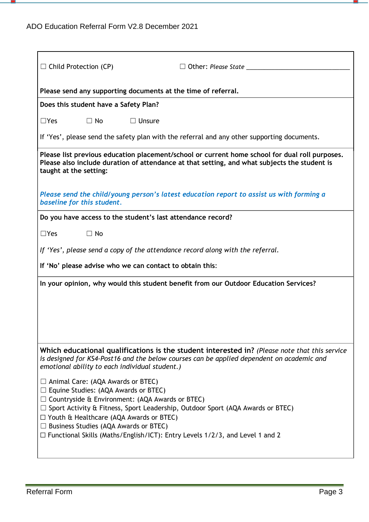m,

| $\Box$ Child Protection (CP)<br>$\Box$ Other: Please State                                                                                                                                                                                                                                                                                                                                                                          |  |  |  |
|-------------------------------------------------------------------------------------------------------------------------------------------------------------------------------------------------------------------------------------------------------------------------------------------------------------------------------------------------------------------------------------------------------------------------------------|--|--|--|
| Please send any supporting documents at the time of referral.                                                                                                                                                                                                                                                                                                                                                                       |  |  |  |
| Does this student have a Safety Plan?                                                                                                                                                                                                                                                                                                                                                                                               |  |  |  |
| $\Box$ Yes<br>$\Box$ No<br>$\Box$ Unsure                                                                                                                                                                                                                                                                                                                                                                                            |  |  |  |
| If 'Yes', please send the safety plan with the referral and any other supporting documents.                                                                                                                                                                                                                                                                                                                                         |  |  |  |
| Please list previous education placement/school or current home school for dual roll purposes.<br>Please also include duration of attendance at that setting, and what subjects the student is<br>taught at the setting:                                                                                                                                                                                                            |  |  |  |
| Please send the child/young person's latest education report to assist us with forming a<br>baseline for this student.                                                                                                                                                                                                                                                                                                              |  |  |  |
| Do you have access to the student's last attendance record?                                                                                                                                                                                                                                                                                                                                                                         |  |  |  |
| $\Box$ Yes<br>$\Box$ No                                                                                                                                                                                                                                                                                                                                                                                                             |  |  |  |
| If 'Yes', please send a copy of the attendance record along with the referral.                                                                                                                                                                                                                                                                                                                                                      |  |  |  |
| If 'No' please advise who we can contact to obtain this:                                                                                                                                                                                                                                                                                                                                                                            |  |  |  |
| In your opinion, why would this student benefit from our Outdoor Education Services?                                                                                                                                                                                                                                                                                                                                                |  |  |  |
|                                                                                                                                                                                                                                                                                                                                                                                                                                     |  |  |  |
|                                                                                                                                                                                                                                                                                                                                                                                                                                     |  |  |  |
|                                                                                                                                                                                                                                                                                                                                                                                                                                     |  |  |  |
| Which educational qualifications is the student interested in? (Please note that this service<br>is designed for KS4-Post16 and the below courses can be applied dependent on academic and<br>emotional ability to each individual student.)                                                                                                                                                                                        |  |  |  |
| $\Box$ Animal Care: (AQA Awards or BTEC)<br>$\Box$ Equine Studies: (AQA Awards or BTEC)<br>$\Box$ Countryside & Environment: (AQA Awards or BTEC)<br>$\Box$ Sport Activity & Fitness, Sport Leadership, Outdoor Sport (AQA Awards or BTEC)<br>$\Box$ Youth & Healthcare (AQA Awards or BTEC)<br>$\Box$ Business Studies (AQA Awards or BTEC)<br>$\Box$ Functional Skills (Maths/English/ICT): Entry Levels 1/2/3, and Level 1 and 2 |  |  |  |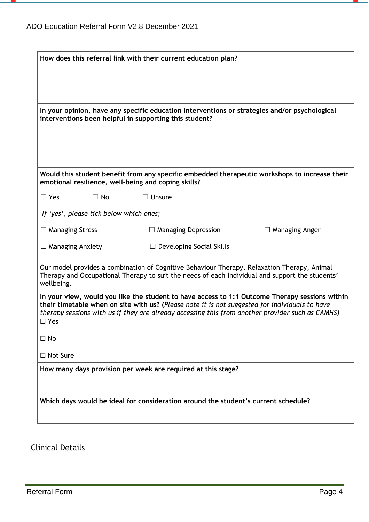- 9

| How does this referral link with their current education plan? |                                         |                                                                                    |                                                                                                                                                                                                                                                                                                      |
|----------------------------------------------------------------|-----------------------------------------|------------------------------------------------------------------------------------|------------------------------------------------------------------------------------------------------------------------------------------------------------------------------------------------------------------------------------------------------------------------------------------------------|
|                                                                |                                         |                                                                                    |                                                                                                                                                                                                                                                                                                      |
|                                                                |                                         |                                                                                    |                                                                                                                                                                                                                                                                                                      |
|                                                                |                                         | interventions been helpful in supporting this student?                             | In your opinion, have any specific education interventions or strategies and/or psychological                                                                                                                                                                                                        |
|                                                                |                                         |                                                                                    |                                                                                                                                                                                                                                                                                                      |
|                                                                |                                         | emotional resilience, well-being and coping skills?                                | Would this student benefit from any specific embedded therapeutic workshops to increase their                                                                                                                                                                                                        |
| $\Box$ Yes                                                     | $\Box$ No                               | $\Box$ Unsure                                                                      |                                                                                                                                                                                                                                                                                                      |
|                                                                | If 'yes', please tick below which ones; |                                                                                    |                                                                                                                                                                                                                                                                                                      |
| $\Box$ Managing Stress                                         |                                         | $\Box$ Managing Depression                                                         | $\Box$ Managing Anger                                                                                                                                                                                                                                                                                |
| $\Box$ Managing Anxiety                                        |                                         | $\Box$ Developing Social Skills                                                    |                                                                                                                                                                                                                                                                                                      |
| wellbeing.                                                     |                                         |                                                                                    | Our model provides a combination of Cognitive Behaviour Therapy, Relaxation Therapy, Animal<br>Therapy and Occupational Therapy to suit the needs of each individual and support the students'                                                                                                       |
| $\square$ Yes                                                  |                                         |                                                                                    | In your view, would you like the student to have access to 1:1 Outcome Therapy sessions within<br>their timetable when on site with us? (Please note it is not suggested for individuals to have<br>therapy sessions with us if they are already accessing this from another provider such as CAMHS) |
| $\Box$ No                                                      |                                         |                                                                                    |                                                                                                                                                                                                                                                                                                      |
| □ Not Sure                                                     |                                         |                                                                                    |                                                                                                                                                                                                                                                                                                      |
|                                                                |                                         | How many days provision per week are required at this stage?                       |                                                                                                                                                                                                                                                                                                      |
|                                                                |                                         | Which days would be ideal for consideration around the student's current schedule? |                                                                                                                                                                                                                                                                                                      |

# Clinical Details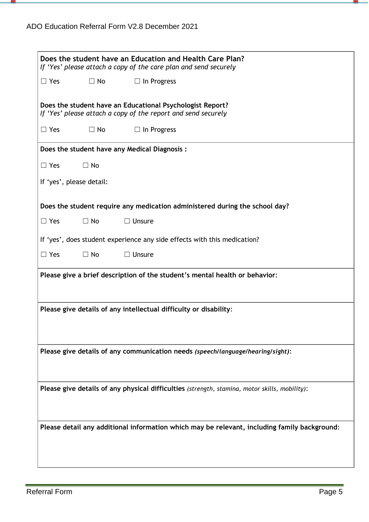m,

| Does the student have an Education and Health Care Plan?<br>If 'Yes' please attach a copy of the care plan and send securely |  |  |  |  |
|------------------------------------------------------------------------------------------------------------------------------|--|--|--|--|
| $\Box$ Yes<br>$\Box$ No<br>$\Box$ In Progress                                                                                |  |  |  |  |
| Does the student have an Educational Psychologist Report?<br>If 'Yes' please attach a copy of the report and send securely   |  |  |  |  |
| $\Box$ Yes<br>$\Box$ No<br>$\Box$ In Progress                                                                                |  |  |  |  |
| Does the student have any Medical Diagnosis:                                                                                 |  |  |  |  |
| $\Box$ Yes<br>$\Box$ No                                                                                                      |  |  |  |  |
| If 'yes', please detail:                                                                                                     |  |  |  |  |
| Does the student require any medication administered during the school day?                                                  |  |  |  |  |
| $\Box$ Yes<br>$\Box$ No<br>$\Box$ Unsure                                                                                     |  |  |  |  |
| If 'yes', does student experience any side effects with this medication?                                                     |  |  |  |  |
| $\Box$ Yes<br>$\Box$ No<br>$\Box$ Unsure                                                                                     |  |  |  |  |
| Please give a brief description of the student's mental health or behavior:                                                  |  |  |  |  |
| Please give details of any intellectual difficulty or disability:                                                            |  |  |  |  |
| Please give details of any communication needs (speech/language/hearing/sight):                                              |  |  |  |  |
| Please give details of any physical difficulties (strength, stamina, motor skills, mobility):                                |  |  |  |  |
| Please detail any additional information which may be relevant, including family background:                                 |  |  |  |  |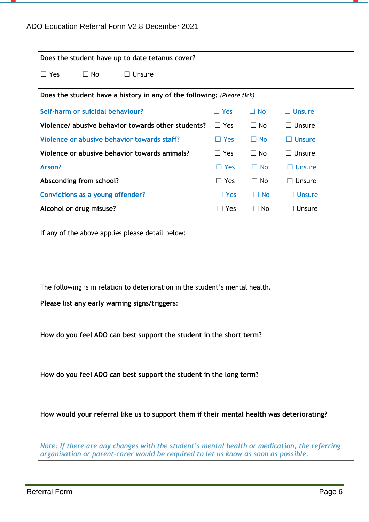m,

| Does the student have up to date tetanus cover?                                                                                                                                    |                                                                        |           |               |  |  |
|------------------------------------------------------------------------------------------------------------------------------------------------------------------------------------|------------------------------------------------------------------------|-----------|---------------|--|--|
| $\Box$ No<br>$\Box$ Unsure<br>$\Box$ Yes                                                                                                                                           |                                                                        |           |               |  |  |
|                                                                                                                                                                                    | Does the student have a history in any of the following: (Please tick) |           |               |  |  |
| Self-harm or suicidal behaviour?                                                                                                                                                   | $\Box$ Yes                                                             | $\Box$ No | $\Box$ Unsure |  |  |
| Violence/ abusive behavior towards other students?                                                                                                                                 | $\Box$ Yes                                                             | $\Box$ No | $\Box$ Unsure |  |  |
| Violence or abusive behavior towards staff?                                                                                                                                        | $\Box$ Yes                                                             | $\Box$ No | $\Box$ Unsure |  |  |
| Violence or abusive behavior towards animals?                                                                                                                                      | $\Box$ Yes                                                             | $\Box$ No | $\Box$ Unsure |  |  |
| Arson?                                                                                                                                                                             | $\Box$ Yes                                                             | $\Box$ No | $\Box$ Unsure |  |  |
| Absconding from school?                                                                                                                                                            | $\Box$ Yes                                                             | $\Box$ No | $\Box$ Unsure |  |  |
| <b>Convictions as a young offender?</b>                                                                                                                                            | $\Box$ Yes                                                             | $\Box$ No | $\Box$ Unsure |  |  |
| Alcohol or drug misuse?                                                                                                                                                            | $\Box$ Yes                                                             | $\Box$ No | $\Box$ Unsure |  |  |
|                                                                                                                                                                                    |                                                                        |           |               |  |  |
| The following is in relation to deterioration in the student's mental health.                                                                                                      |                                                                        |           |               |  |  |
| Please list any early warning signs/triggers:                                                                                                                                      |                                                                        |           |               |  |  |
| How do you feel ADO can best support the student in the short term?                                                                                                                |                                                                        |           |               |  |  |
| How do you feel ADO can best support the student in the long term?                                                                                                                 |                                                                        |           |               |  |  |
| How would your referral like us to support them if their mental health was deteriorating?                                                                                          |                                                                        |           |               |  |  |
| Note: If there are any changes with the student's mental health or medication, the referring<br>organisation or parent-carer would be required to let us know as soon as possible. |                                                                        |           |               |  |  |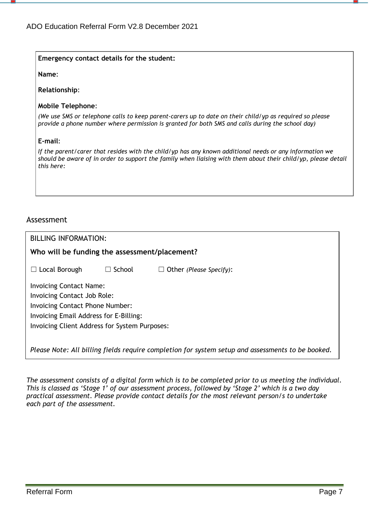### **Emergency contact details for the student:**

**Name**:

**Relationship**:

#### **Mobile Telephone**:

(We use SMS or telephone calls to keep parent-carers up to date on their child/yp as required so please *provide a phone number where permission is granted for both SMS and calls during the school day)*

### **E-mail**:

*If the parent/carer that resides with the child/yp has any known additional needs or any information we* should be aware of in order to support the family when liaising with them about their child/yp, please detail *this here:*

## Assessment

| <b>BILLING INFORMATION:</b>                   |                  |                         |  |  |
|-----------------------------------------------|------------------|-------------------------|--|--|
| Who will be funding the assessment/placement? |                  |                         |  |  |
| $\Box$ Local Borough                          | School<br>$\Box$ | Other (Please Specify): |  |  |
| <b>Invoicing Contact Name:</b>                |                  |                         |  |  |
| Invoicing Contact Job Role:                   |                  |                         |  |  |
| Invoicing Contact Phone Number:               |                  |                         |  |  |
| Invoicing Email Address for E-Billing:        |                  |                         |  |  |
| Invoicing Client Address for System Purposes: |                  |                         |  |  |
|                                               |                  |                         |  |  |
|                                               |                  |                         |  |  |

*Please Note: All billing fields require completion for system setup and assessments to be booked.*

The assessment consists of a digital form which is to be completed prior to us meeting the individual. This is classed as 'Stage 1' of our assessment process, followed by 'Stage 2' which is a two day *practical assessment. Please provide contact details for the most relevant person/s to undertake each part of the assessment.*